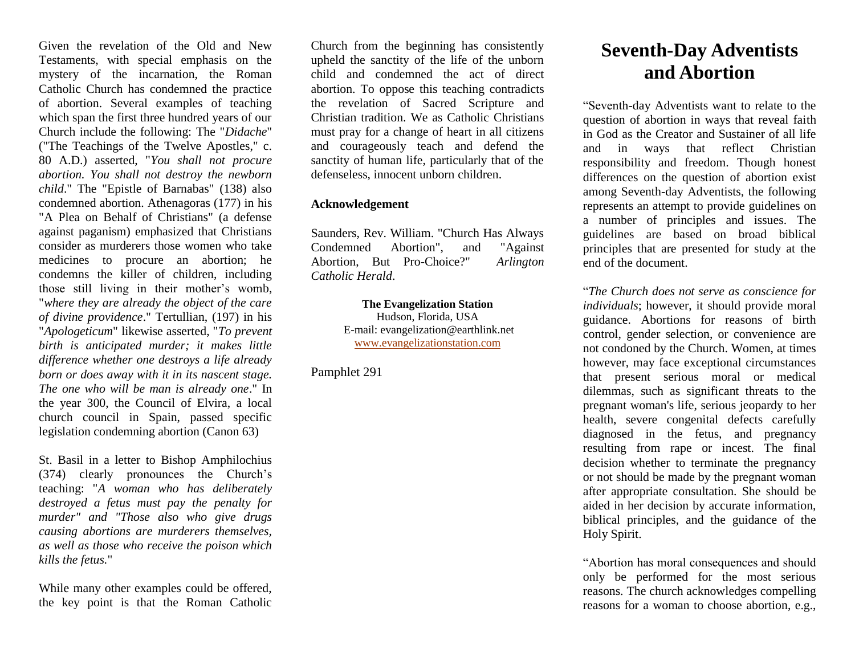Given the revelation of the Old and New Testaments, with special emphasis on the mystery of the incarnation, the Roman Catholic Church has condemned the practice of abortion. Several examples of teaching which span the first three hundred years of our Church include the following: The "*Didache*" ("The Teachings of the Twelve Apostles," c. 80 A.D.) asserted, "*You shall not procure abortion. You shall not destroy the newborn child*." The "Epistle of Barnabas" (138) also condemned abortion. Athenagoras (177) in his "A Plea on Behalf of Christians" (a defense against paganism) emphasized that Christians consider as murderers those women who take medicines to procure an abortion; he condemns the killer of children, including those still living in their mother's womb, "*where they are already the object of the care of divine providence*." Tertullian, (197) in his "*Apologeticum*" likewise asserted, "*To prevent birth is anticipated murder; it makes little difference whether one destroys a life already born or does away with it in its nascent stage. The one who will be man is already one*." In the year 300, the Council of Elvira, a local church council in Spain, passed specific legislation condemning abortion (Canon 63)

St. Basil in a letter to Bishop Amphilochius (374) clearly pronounces the Church's teaching: "*A woman who has deliberately destroyed a fetus must pay the penalty for murder" and "Those also who give drugs causing abortions are murderers themselves, as well as those who receive the poison which kills the fetus.*"

While many other examples could be offered, the key point is that the Roman Catholic Church from the beginning has consistently upheld the sanctity of the life of the unborn child and condemned the act of direct abortion. To oppose this teaching contradicts the revelation of Sacred Scripture and Christian tradition. We as Catholic Christians must pray for a change of heart in all citizens and courageously teach and defend the sanctity of human life, particularly that of the defenseless, innocent unborn children.

## **Acknowledgement**

Saunders, Rev. William. "Church Has Always Condemned Abortion", and "Against Abortion, But Pro-Choice?" *Arlington Catholic Herald*.

> **The Evangelization Station** Hudson, Florida, USA E-mail: evangelization@earthlink.net [www.evangelizationstation.com](http://www.pjpiisoe.org/)

Pamphlet 291

## **Seventh-Day Adventists and Abortion**

"Seventh-day Adventists want to relate to the question of abortion in ways that reveal faith in God as the Creator and Sustainer of all life and in ways that reflect Christian responsibility and freedom. Though honest differences on the question of abortion exist among Seventh-day Adventists, the following represents an attempt to provide guidelines on a number of principles and issues. The guidelines are based on broad biblical principles that are presented for study at the end of the document.

"*The Church does not serve as conscience for individuals*; however, it should provide moral guidance. Abortions for reasons of birth control, gender selection, or convenience are not condoned by the Church. Women, at times however, may face exceptional circumstances that present serious moral or medical dilemmas, such as significant threats to the pregnant woman's life, serious jeopardy to her health, severe congenital defects carefully diagnosed in the fetus, and pregnancy resulting from rape or incest. The final decision whether to terminate the pregnancy or not should be made by the pregnant woman after appropriate consultation. She should be aided in her decision by accurate information, biblical principles, and the guidance of the Holy Spirit.

"Abortion has moral consequences and should only be performed for the most serious reasons. The church acknowledges compelling reasons for a woman to choose abortion, e.g.,